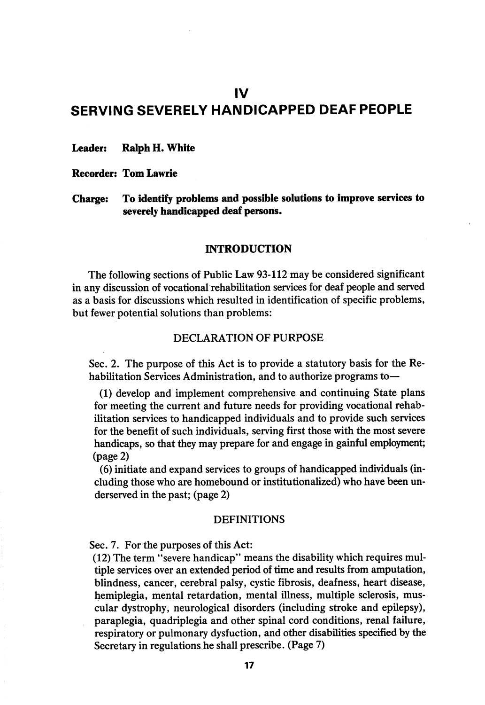# IV SERVING SEVERELY HANDICAPPED DEAF PEOPLE

Leader: Ralph H. White

Recorder: TomLawrie

Charge: To identify problems and possible solutions to improve services to severely handicapped deaf persons.

# INTRODUCTION

The following sections of Public Law 93-112 may be considered significant in any discussion of vocational rehabilitation services for deaf people and served as a basis for discussions which resulted in identification of specific problems, but fewer potential solutions than problems:

## DECLARATION OF PURPOSE

Sec. 2. The purpose of this Act is to provide a statutory basis for the Re habilitation Services Administration, and to authorize programs to—

(1) develop and implement comprehensive and continuing State plans for meeting the current and future needs for providing vocational rehab ilitation services to handicapped individuals and to provide such services for the benefit of such individuals, serving first those with the most severe handicaps, so that they may prepare for and engage in gainful employment; (page 2)

(6) initiate and expand services to groups of handicapped individuals (in cluding those who are homebound or institutionalized) who have been underserved in the past; (page 2)

#### DEFINITIONS

Sec. 7. For the purposes of this Act:

(12) The term "severe handicap" means the disability which requires mul tiple services over an extended period of time and results from amputation, blindness, cancer, cerebral palsy, cystic fibrosis, deafness, heart disease, hemiplegia, mental retardation, mental illness, multiple sclerosis, mus cular dystrophy, neurological disorders (including stroke and epilepsy), paraplegia, quadriplegia and other spinal cord conditions, renal failure, respiratory or pulmonary dysfuction, and other disabilities specified by the Secretary in regulations he shall prescribe. (Page 7)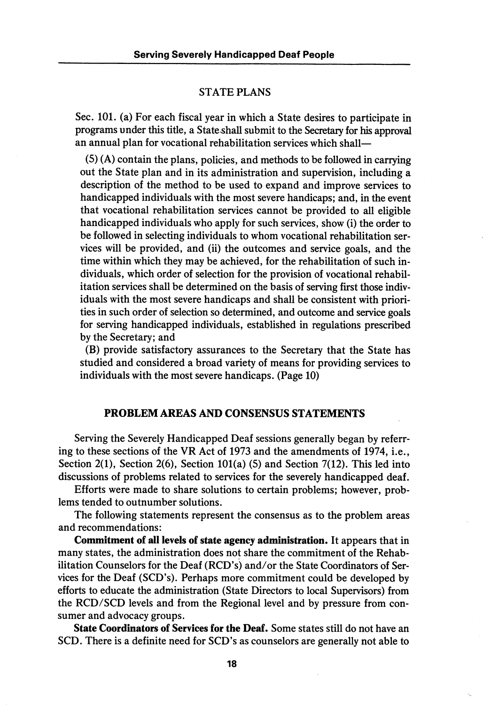#### STATE PLANS

Sec. 101. (a) For each fiscal year in which a State desires to participate in programs under this title, a State shall submit to the Secretary for his approval an annual plan for vocational rehabilitation services which shall—

(5) (A) contain the plans, policies, and methods to be followed in carrying out the State plan and in its administration and supervision, including a description of the method to be used to expand and improve services to handicapped individuals with the most severe handicaps; and, in the event that vocational rehabilitation services cannot be provided to all eligible handicapped individuals who apply for such services, show (i) the order to be followed in selecting individuals to whom vocational rehabilitation ser vices will be provided, and (ii) the outcomes and service goals, and the time within which they may be achieved, for the rehabilitation of such in dividuals, which order of selection for the provision of vocational rehabil itation services shall be determined on the basis of serving first those indiv iduals with the most severe handicaps and shall be consistent with priori ties in such order of selection so determined, and outcome and service goals for serving handicapped individuals, established in regulations prescribed by the Secretary; and

(B) provide satisfactory assurances to the Secretary that the State has studied and considered a broad variety of means for providing services to individuals with the most severe handicaps. (Page 10)

## PROBLEM AREAS AND CONSENSUS STATEMENTS

Serving the Severely Handicapped Deaf sessions generally began by referr ing to these sections of the VR Act of 1973 and the amendments of 1974, i.e.. Section 2(1), Section 2(6), Section 101(a) (5) and Section 7(12). This led into discussions of problems related to services for the severely handicapped deaf.

Efforts were made to share solutions to certain problems; however, prob lems tended to outnumber solutions.

The following statements represent the consensus as to the problem areas and recommendations:

Commitment of all levels of state agency administration. It appears that in many states, the administration does not share the commitment of the Rehab ilitation Counselors for the Deaf (RCD's) and/or the State Coordinators of Ser vices for the Deaf (SCD's). Perhaps more commitment could be developed by efforts to educate the administration (State Directors to local Supervisors) from the RCD/SCD levels and from the Regional level and by pressure from con sumer and advocacy groups.

State Coordinators of Services for the Deaf. Some states still do not have an SCD. There is a definite need for SCD's as counselors are generally not able to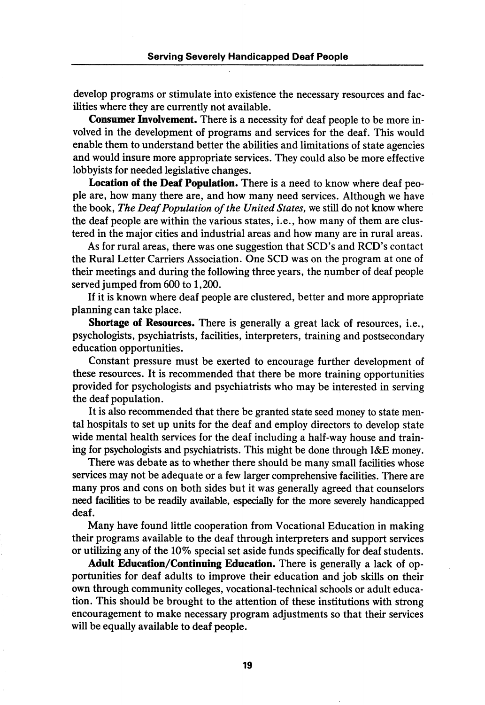develop programs or stimulate into existence the necessary resources and fac ilities where they are currently not available.

Consumer Involvement. There is a necessity for deaf people to be more in volved in the development of programs and services for the deaf. This would enable them to understand better the abilities and limitations of state agencies and would insure more appropriate services. They could also be more effective lobbyists for needed legislative changes.

Location of the Deaf Population. There is a need to know where deaf peo ple are, how many there are, and how many need services. Although we have the book, The Deaf Population of the United States, we still do not know where the deaf people are within the various states, i.e., how many of them are clus tered in the major cities and industrial areas and how many are in rural areas.

As for rural areas, there was one suggestion that SCD's and RCD's contact the Rural Letter Carriers Association. One SCD was on the program at one of their meetings and during the following three years, the number of deaf people served jumped from 600 to 1,200.

If it is known where deaf people are clustered, better and more appropriate planning can take place.

Shortage of Resources. There is generally a great lack of resources, i.e., psychologists, psychiatrists, facilities, interpreters, training and postsecondary education opportunities.

Constant pressure must be exerted to encourage further development of these resources. It is recommended that there be more training opportunities provided for psychologists and psychiatrists who may be interested in serving the deaf population.

It is also recommended that there be granted state seed money to state men tal hospitals to set up units for the deaf and employ directors to develop state wide mental health services for the deaf including a half-way house and train ing for psychologists and psychiatrists. This might be done through l&E money.

There was debate as to whether there should be many small facilities whose services may not be adequate or a few larger comprehensive facilities. There are many pros and cons on both sides but it was generally agreed that counselors need facilities to be readily available, especially for the more severely handicapped deaf.

Many have found little cooperation from Vocational Education in making their programs available to the deaf through interpreters and support services or utilizing any of the 10% special set aside funds specifically for deaf students.

Adult Education/Continuing Education. There is generally a lack of op portunities for deaf adults to improve their education and job skills on their own through community colleges, vocational-technical schools or adult educa tion. This should be brought to the attention of these institutions with strong encouragement to make necessary program adjustments so that their services will be equally available to deaf people.